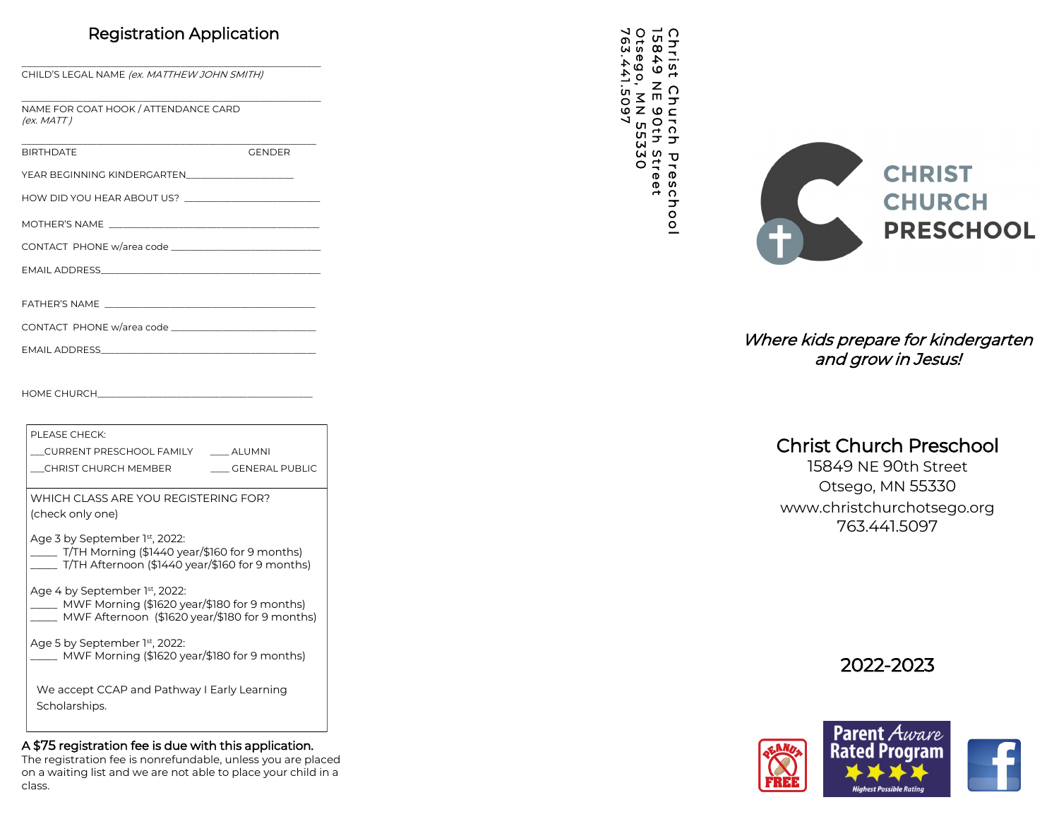### Registration Application

\_\_\_\_\_\_\_\_\_\_\_\_\_\_\_\_\_\_\_\_\_\_\_\_\_\_\_\_\_\_\_\_\_\_\_\_\_\_\_\_\_\_\_\_\_\_\_\_\_\_\_\_\_\_\_\_\_\_\_\_\_\_\_\_

CHILD'S LEGAL NAME (ex. MATTHEW JOHN SMITH)

\_\_\_\_\_\_\_\_\_\_\_\_\_\_\_\_\_\_\_\_\_\_\_\_\_\_\_\_\_\_\_\_\_\_\_\_\_\_\_\_\_\_\_\_\_\_\_\_\_\_\_\_\_\_\_\_\_\_\_\_\_\_\_\_ NAME FOR COAT HOOK / ATTENDANCE CARD  $(ex. MATT)$ 

| <b>BIRTHDATE</b> | <b>GENDER</b> |
|------------------|---------------|
|                  |               |
|                  |               |

| YEAR BEGINNING KINDERGARTEN |
|-----------------------------|
|-----------------------------|

\_\_\_\_\_\_\_\_\_\_\_\_\_\_\_\_\_\_\_\_\_\_\_\_\_\_\_\_\_\_\_\_\_\_\_\_\_\_\_\_\_\_\_\_\_\_\_\_\_\_\_\_\_\_\_\_\_\_\_\_\_\_\_

| HOW DID YOU HEAR ABOUT US? |  |
|----------------------------|--|
|                            |  |

MOTHER 'S NAME \_\_\_\_\_\_\_\_\_\_\_\_\_\_\_\_\_\_\_\_\_\_\_\_\_\_\_\_\_\_\_\_\_\_\_\_\_\_\_\_\_\_\_\_\_

| CONTACT PHONE w/area code |  |
|---------------------------|--|
|---------------------------|--|

| <b>EMAIL ADDRESS</b> |  |  |
|----------------------|--|--|
|----------------------|--|--|

| <b>FATHER'S NAME</b> |  |
|----------------------|--|
|                      |  |

|  | CONTACT PHONE w/area code |  |
|--|---------------------------|--|
|--|---------------------------|--|

EMAIL ADDRESS\_\_\_\_\_\_\_\_\_\_\_\_\_\_\_\_\_\_\_\_\_\_\_\_\_\_\_\_\_\_\_\_\_\_\_\_\_\_\_\_\_\_\_\_\_\_

HOME CHURCH\_

| PLEASE CHECK:                                                                                                                            |                |
|------------------------------------------------------------------------------------------------------------------------------------------|----------------|
| CURRENT PRESCHOOL FAMILY                                                                                                                 | ALUMNI         |
| CHRIST CHURCH MEMBER                                                                                                                     | GENERAL PUBLIC |
| WHICH CLASS ARE YOU REGISTERING FOR?                                                                                                     |                |
| (check only one)                                                                                                                         |                |
| Age 3 by September 1st, 2022:<br>$T/TH$ Morning (\$1440 year/\$160 for 9 months)<br>$\_$ T/TH Afternoon (\$1440 year/\$160 for 9 months) |                |
| Age 4 by September 1st, 2022:<br>MWF Morning (\$1620 year/\$180 for 9 months)<br>MWF Afternoon (\$1620 year/\$180 for 9 months)          |                |
| Age 5 by September 1 <sup>st</sup> , 2022:<br>MWF Morning (\$1620 year/\$180 for 9 months)                                               |                |
| We accept CCAP and Pathway I Early Learning<br>Scholarships.                                                                             |                |

#### A \$75 registration fee is due with this application.

The registration fee is nonrefundable, unless you are placed on a waiting list and we are not able to place your child in a class.

Christ<br>15849 Church Preschool P r e s c h o o l15849 NE 90th Street<br>Otsego, MN 55330<br>763.441.5097



### Where kids prepare for kindergarten and grow in Jesus!

## Christ Church Preschool

15849 NE 90th Street Otsego, MN 55330 www.christchurchotsego.org 763.441.5097

2022 -2023